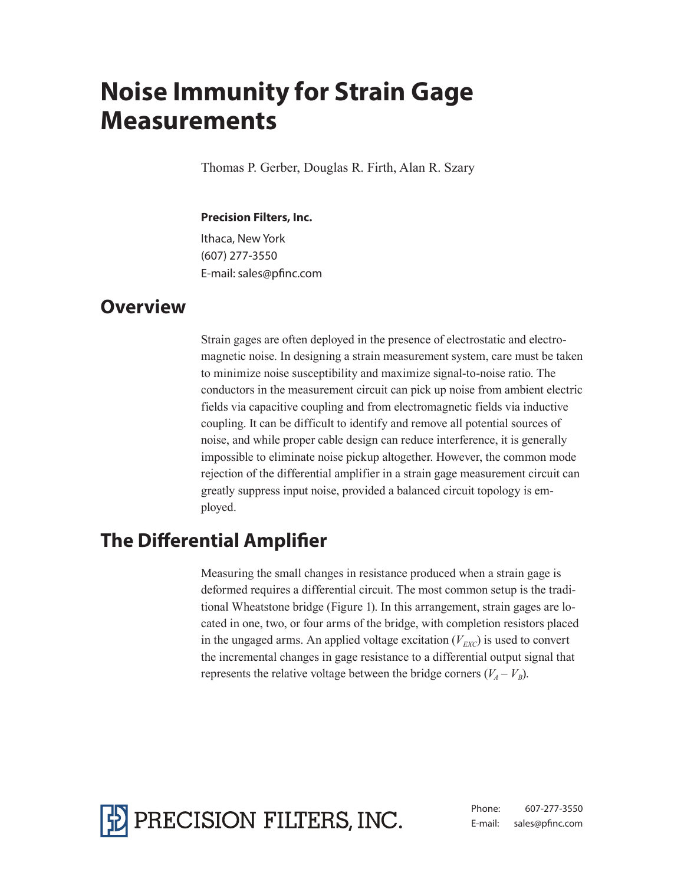# **Noise Immunity for Strain Gage Measurements**

Thomas P. Gerber, Douglas R. Firth, Alan R. Szary

#### **Precision Filters, Inc.**

Ithaca, New York (607) 277-3550 E-mail: sales@pfinc.com

#### **Overview**

Strain gages are often deployed in the presence of electrostatic and electromagnetic noise. In designing a strain measurement system, care must be taken to minimize noise susceptibility and maximize signal-to-noise ratio. The conductors in the measurement circuit can pick up noise from ambient electric fields via capacitive coupling and from electromagnetic fields via inductive coupling. It can be difficult to identify and remove all potential sources of noise, and while proper cable design can reduce interference, it is generally impossible to eliminate noise pickup altogether. However, the common mode rejection of the differential amplifier in a strain gage measurement circuit can greatly suppress input noise, provided a balanced circuit topology is employed.

# **The Differential Amplifier**

Measuring the small changes in resistance produced when a strain gage is deformed requires a differential circuit. The most common setup is the traditional Wheatstone bridge (Figure 1). In this arrangement, strain gages are located in one, two, or four arms of the bridge, with completion resistors placed in the ungaged arms. An applied voltage excitation  $(V_{EXC})$  is used to convert the incremental changes in gage resistance to a differential output signal that represents the relative voltage between the bridge corners  $(V_A - V_B)$ .



Phone: 607-277-3550 E-mail: sales@pfinc.com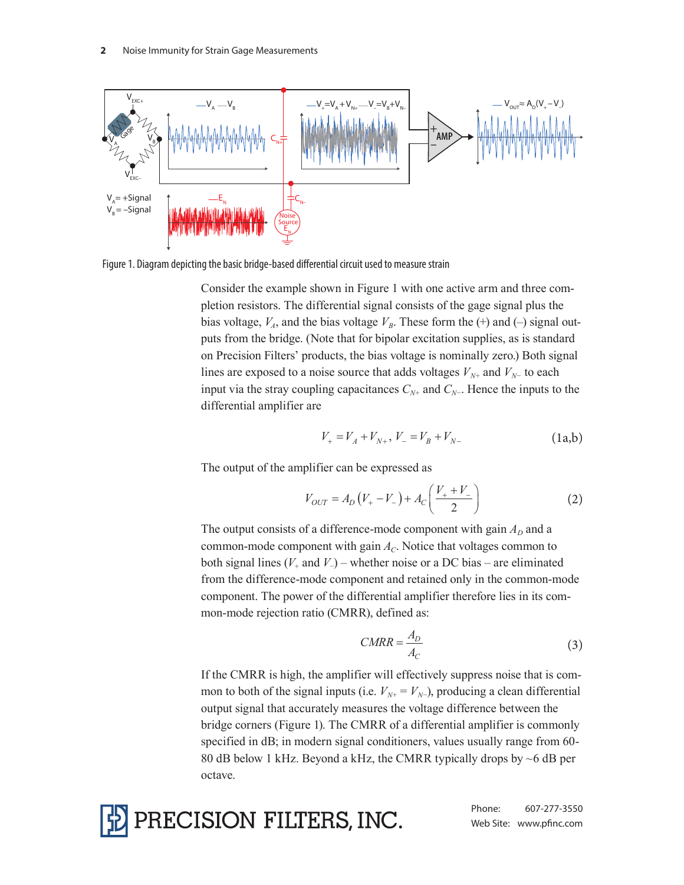

Figure 1. Diagram depicting the basic bridge-based differential circuit used to measure strain

Consider the example shown in Figure 1 with one active arm and three completion resistors. The differential signal consists of the gage signal plus the bias voltage,  $V_A$ , and the bias voltage  $V_B$ . These form the (+) and (-) signal outputs from the bridge. (Note that for bipolar excitation supplies, as is standard on Precision Filters' products, the bias voltage is nominally zero.) Both signal lines are exposed to a noise source that adds voltages  $V_{N+}$  and  $V_{N-}$  to each input via the stray coupling capacitances  $C_{N+}$  and  $C_{N-}$ . Hence the inputs to the differential amplifier are

$$
V_{+} = V_{A} + V_{N+}, V_{-} = V_{B} + V_{N-}
$$
 (1a,b)

The output of the amplifier can be expressed as

$$
V_{OUT} = A_D (V_+ - V_-) + A_C \left(\frac{V_+ + V_-}{2}\right)
$$
 (2)

The output consists of a difference-mode component with gain  $A_D$  and a common-mode component with gain  $A_C$ . Notice that voltages common to both signal lines (*V+* and *V−*) – whether noise or a DC bias – are eliminated from the difference-mode component and retained only in the common-mode component. The power of the differential amplifier therefore lies in its common-mode rejection ratio (CMRR), defined as:

$$
CMRR = \frac{A_D}{A_C} \tag{3}
$$

If the CMRR is high, the amplifier will effectively suppress noise that is common to both of the signal inputs (i.e.  $V_{N+} = V_{N-}$ ), producing a clean differential output signal that accurately measures the voltage difference between the bridge corners (Figure 1). The CMRR of a differential amplifier is commonly specified in dB; in modern signal conditioners, values usually range from 60- 80 dB below 1 kHz. Beyond a kHz, the CMRR typically drops by  $\sim$  6 dB per octave.

PRECISION FILTERS, INC.

Phone: 607-277-3550 Web Site: www.pfinc.com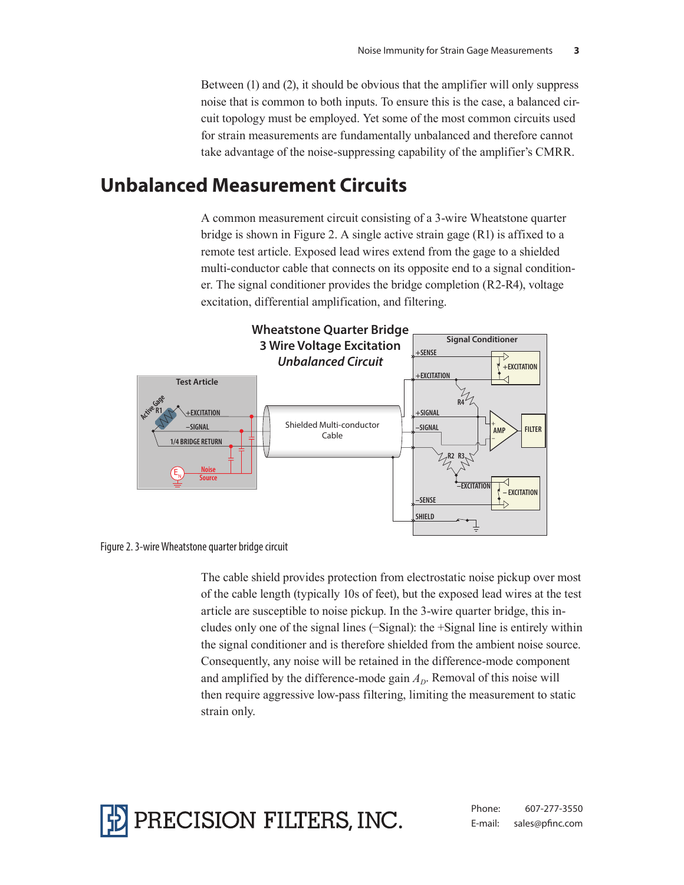Between (1) and (2), it should be obvious that the amplifier will only suppress noise that is common to both inputs. To ensure this is the case, a balanced circuit topology must be employed. Yet some of the most common circuits used for strain measurements are fundamentally unbalanced and therefore cannot take advantage of the noise-suppressing capability of the amplifier's CMRR.

## **Unbalanced Measurement Circuits**

A common measurement circuit consisting of a 3-wire Wheatstone quarter bridge is shown in Figure 2. A single active strain gage (R1) is affixed to a remote test article. Exposed lead wires extend from the gage to a shielded multi-conductor cable that connects on its opposite end to a signal conditioner. The signal conditioner provides the bridge completion (R2-R4), voltage excitation, differential amplification, and filtering.





The cable shield provides protection from electrostatic noise pickup over most of the cable length (typically 10s of feet), but the exposed lead wires at the test article are susceptible to noise pickup. In the 3-wire quarter bridge, this includes only one of the signal lines (−Signal): the +Signal line is entirely within the signal conditioner and is therefore shielded from the ambient noise source. Consequently, any noise will be retained in the difference-mode component and amplified by the difference-mode gain  $A<sub>D</sub>$ . Removal of this noise will then require aggressive low-pass filtering, limiting the measurement to static strain only.

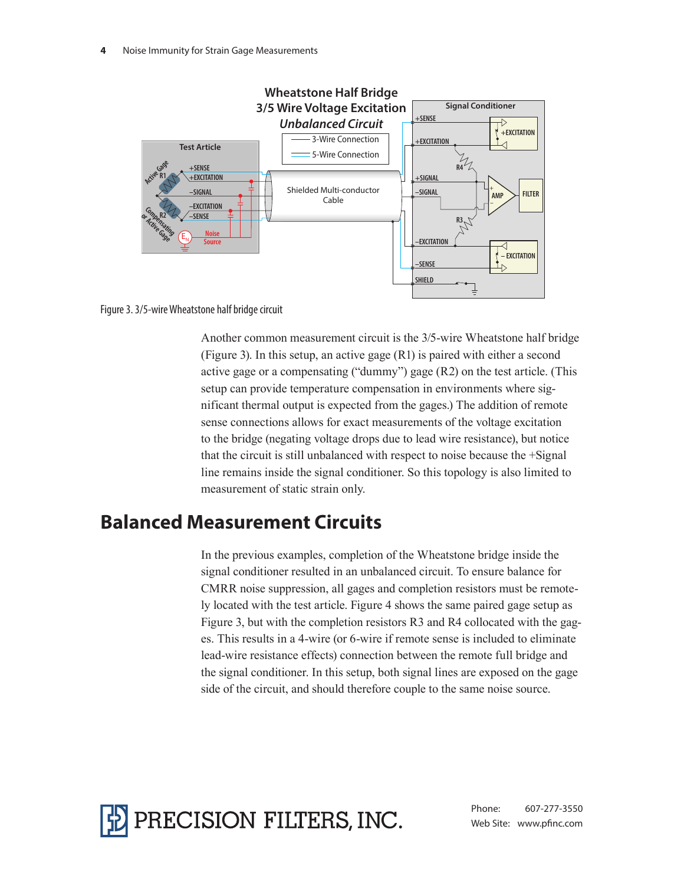



Another common measurement circuit is the 3/5-wire Wheatstone half bridge (Figure 3). In this setup, an active gage (R1) is paired with either a second active gage or a compensating ("dummy") gage (R2) on the test article. (This setup can provide temperature compensation in environments where significant thermal output is expected from the gages.) The addition of remote sense connections allows for exact measurements of the voltage excitation to the bridge (negating voltage drops due to lead wire resistance), but notice that the circuit is still unbalanced with respect to noise because the +Signal line remains inside the signal conditioner. So this topology is also limited to measurement of static strain only.

### **Balanced Measurement Circuits**

In the previous examples, completion of the Wheatstone bridge inside the signal conditioner resulted in an unbalanced circuit. To ensure balance for CMRR noise suppression, all gages and completion resistors must be remotely located with the test article. Figure 4 shows the same paired gage setup as Figure 3, but with the completion resistors R3 and R4 collocated with the gages. This results in a 4-wire (or 6-wire if remote sense is included to eliminate lead-wire resistance effects) connection between the remote full bridge and the signal conditioner. In this setup, both signal lines are exposed on the gage side of the circuit, and should therefore couple to the same noise source.



Phone: 607-277-3550 Web Site: www.pfinc.com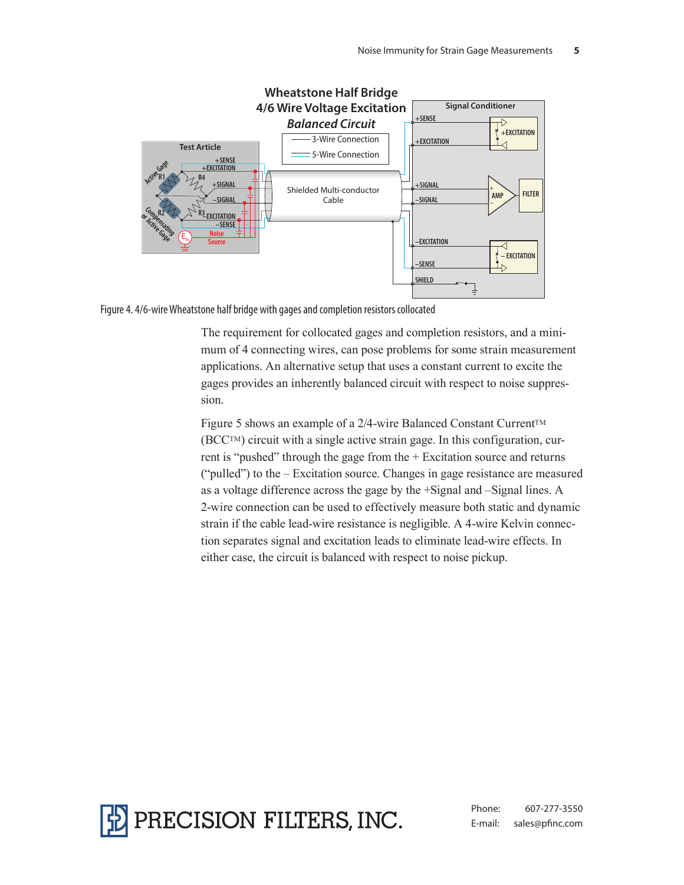



The requirement for collocated gages and completion resistors, and a minimum of 4 connecting wires, can pose problems for some strain measurement applications. An alternative setup that uses a constant current to excite the gages provides an inherently balanced circuit with respect to noise suppression.

Figure 5 shows an example of a 2/4-wire Balanced Constant Current™ (BCCTM) circuit with a single active strain gage. In this configuration, current is "pushed" through the gage from the + Excitation source and returns ("pulled") to the – Excitation source. Changes in gage resistance are measured as a voltage difference across the gage by the +Signal and –Signal lines. A 2-wire connection can be used to effectively measure both static and dynamic strain if the cable lead-wire resistance is negligible. A 4-wire Kelvin connection separates signal and excitation leads to eliminate lead-wire effects. In either case, the circuit is balanced with respect to noise pickup.



Phone: 607-277-3550 E-mail: sales@pfinc.com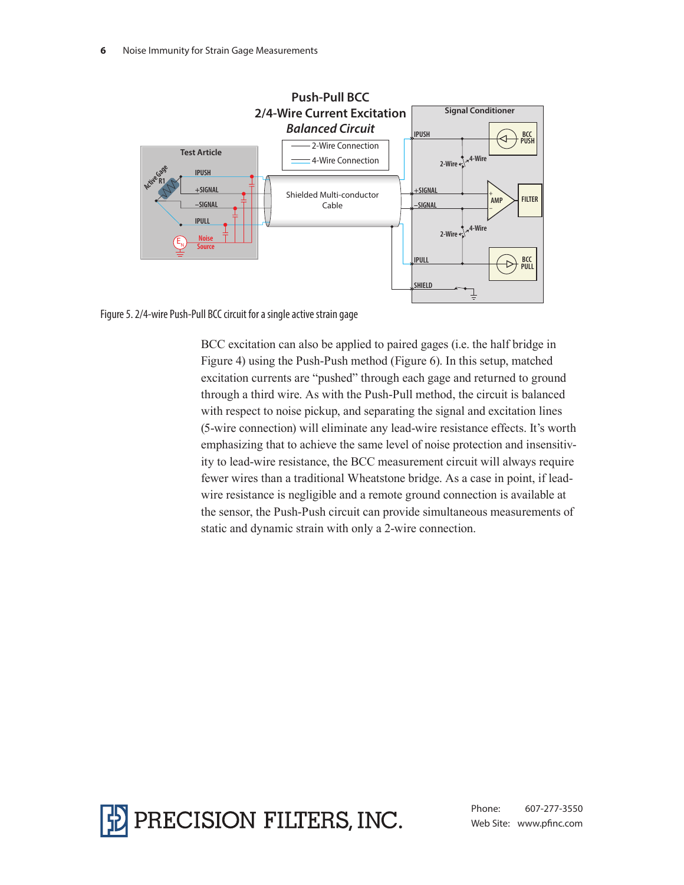

Figure 5. 2/4-wire Push-Pull BCC circuit for a single active strain gage

BCC excitation can also be applied to paired gages (i.e. the half bridge in Figure 4) using the Push-Push method (Figure 6). In this setup, matched excitation currents are "pushed" through each gage and returned to ground through a third wire. As with the Push-Pull method, the circuit is balanced with respect to noise pickup, and separating the signal and excitation lines (5-wire connection) will eliminate any lead-wire resistance effects. It's worth emphasizing that to achieve the same level of noise protection and insensitivity to lead-wire resistance, the BCC measurement circuit will always require fewer wires than a traditional Wheatstone bridge. As a case in point, if leadwire resistance is negligible and a remote ground connection is available at the sensor, the Push-Push circuit can provide simultaneous measurements of static and dynamic strain with only a 2-wire connection.



Phone: 607-277-3550 Web Site: www.pfinc.com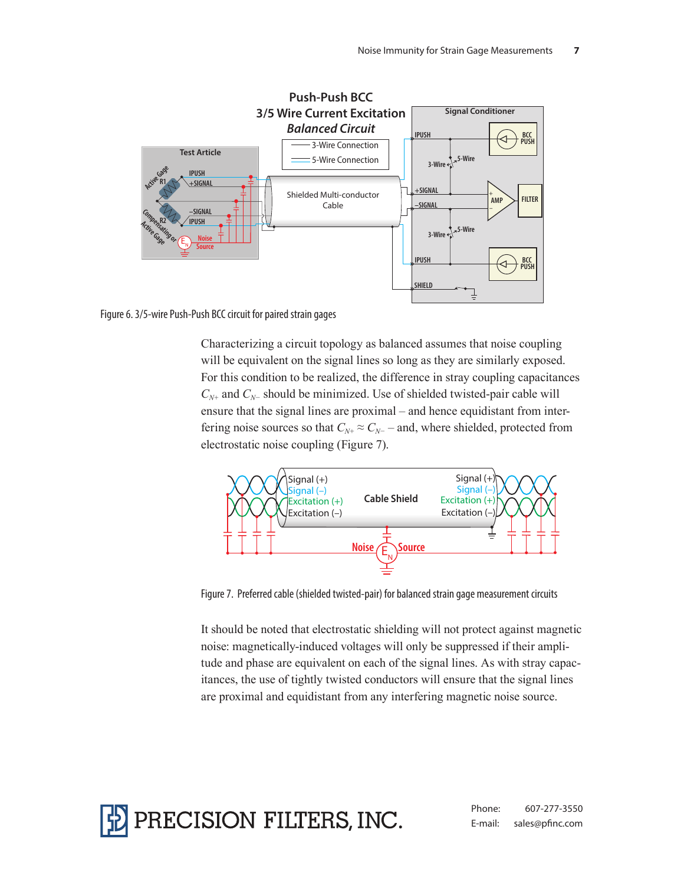

Figure 6. 3/5-wire Push-Push BCC circuit for paired strain gages

Characterizing a circuit topology as balanced assumes that noise coupling will be equivalent on the signal lines so long as they are similarly exposed. For this condition to be realized, the difference in stray coupling capacitances *CN+* and *CN−* should be minimized. Use of shielded twisted-pair cable will ensure that the signal lines are proximal – and hence equidistant from interfering noise sources so that  $C_{N+} \approx C_{N-}$  – and, where shielded, protected from electrostatic noise coupling (Figure 7).



Figure 7. Preferred cable (shielded twisted-pair) for balanced strain gage measurement circuits

It should be noted that electrostatic shielding will not protect against magnetic noise: magnetically-induced voltages will only be suppressed if their amplitude and phase are equivalent on each of the signal lines. As with stray capacitances, the use of tightly twisted conductors will ensure that the signal lines are proximal and equidistant from any interfering magnetic noise source.